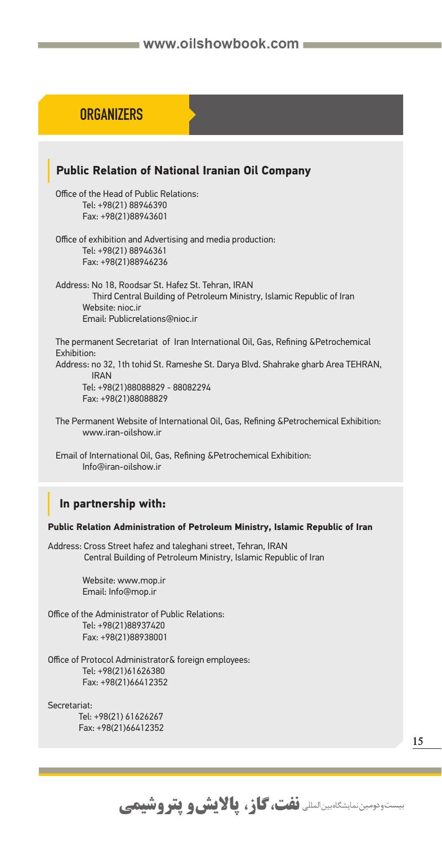# **ORGANIZER ORGANIZERS**

### **Public Relation of National Iranian Oil Company** Office of the Head of Public Relations: Tel: +98(21) 88946390 Fax: +98(21)88943601 Office of exhibition and Advertising and media production: Tel: +98(21) 88946361 Fax: +98(21)88946236 Address: No 18, Roodsar St. Hafez St. Tehran, IRAN Third Central Building of Petroleum Ministry, Islamic Republic of Iran Website: nioc.ir Email: Publicrelations@nioc.ir The permanent Secretariat of Iran International Oil, Gas, Refining &Petrochemical Exhibition: Address: no 32, 1th tohid St. Rameshe St. Darya Blvd. Shahrake gharb Area TEHRAN, IRAN Tel: +98(21)88088829 - 88082294 Fax: +98(21)88088829 The Permanent Website of International Oil, Gas, Refining &Petrochemical Exhibition: www.iran-oilshow.ir Email of International Oil, Gas, Refining &Petrochemical Exhibition: Info@iran-oilshow.ir  **In partnership with: Public Relation Administration of Petroleum Ministry, Islamic Republic of Iran**  Address: Cross Street hafez and taleghani street, Tehran, IRAN Central Building of Petroleum Ministry, Islamic Republic of Iran Website: www.mop.ir Email: Info@mop.ir Office of the Administrator of Public Relations: Tel: +98(21)88937420 Fax: +98(21)88938001 Office of Protocol Administrator& foreign employees: Tel: +98(21)61626380 Fax: +98(21)66412352 Secretariat: Tel: +98(21) 61626267 Fax: +98(21)66412352

بیستودومین نمایشگاهبین المللی **نفت، گاز، پالایش و پتروشیمی** 

**15**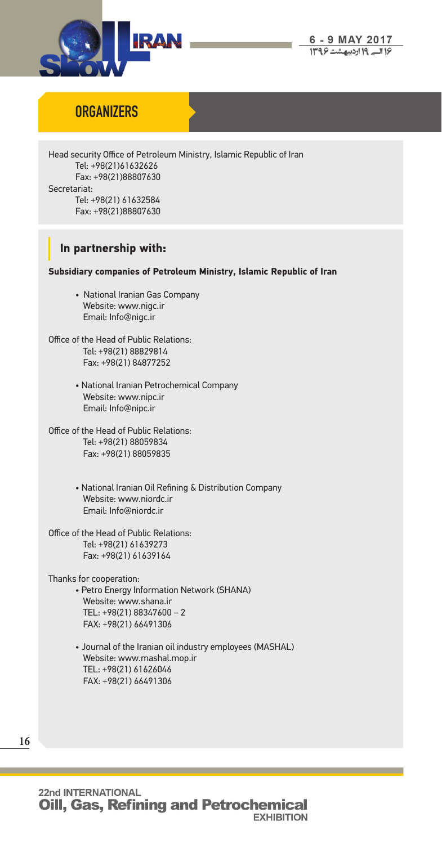

## **ORGANIZERS**

Head security Office of Petroleum Ministry, Islamic Republic of Iran Tel: +98(21)61632626 Fax: +98(21)88807630 Secretariat: Tel: +98(21) 61632584 Fax: +98(21)88807630

### **In partnership with:**

#### **Subsidiary companies of Petroleum Ministry, Islamic Republic of Iran**

• National Iranian Gas Company Website: www.nigc.ir Email: Info@nigc.ir

Office of the Head of Public Relations: Tel: +98(21) 88829814 Fax: +98(21) 84877252

- National Iranian Petrochemical Company Website: www.nipc.ir Email: Info@nipc.ir
- Office of the Head of Public Relations: Tel: +98(21) 88059834 Fax: +98(21) 88059835
	- National Iranian Oil Refining & Distribution Company Website: www.niordc.ir Email: Info@niordc.ir
- Office of the Head of Public Relations: Tel: +98(21) 61639273 Fax: +98(21) 61639164

Thanks for cooperation:

- Petro Energy Information Network (SHANA) Website: www.shana.ir TEL: +98(21) 88347600 – 2 FAX: +98(21) 66491306
	- Journal of the Iranian oil industry employees (MASHAL) Website: www.mashal.mop.ir TEL: +98(21) 61626046 FAX: +98(21) 66491306

**16**